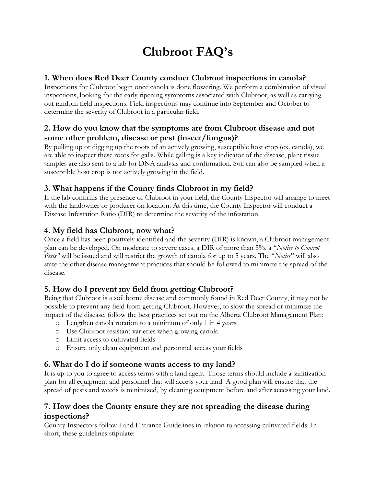# **Clubroot FAQ's**

## **1. When does Red Deer County conduct Clubroot inspections in canola?**

Inspections for Clubroot begin once canola is done flowering. We perform a combination of visual inspections, looking for the early ripening symptoms associated with Clubroot, as well as carrying out random field inspections. Field inspections may continue into September and October to determine the severity of Clubroot in a particular field.

# **2. How do you know that the symptoms are from Clubroot disease and not some other problem, disease or pest (insect/fungus)?**

By pulling up or digging up the roots of an actively growing, susceptible host crop (ex. canola), we are able to inspect these roots for galls. While galling is a key indicator of the disease, plant tissue samples are also sent to a lab for DNA analysis and confirmation. Soil can also be sampled when a susceptible host crop is not actively growing in the field.

# **3. What happens if the County finds Clubroot in my field?**

If the lab confirms the presence of Clubroot in your field, the County Inspector will arrange to meet with the landowner or producer on location. At this time, the County Inspector will conduct a Disease Infestation Ratio (DIR) to determine the severity of the infestation.

# **4. My field has Clubroot, now what?**

Once a field has been positively identified and the severity (DIR) is known, a Clubroot management plan can be developed. On moderate to severe cases, a DIR of more than 5%, a "*Notice to Control Pests"* will be issued and will restrict the growth of canola for up to 5 years. The "*Notice*" will also state the other disease management practices that should be followed to minimize the spread of the disease.

# **5. How do I prevent my field from getting Clubroot?**

Being that Clubroot is a soil borne disease and commonly found in Red Deer County, it may not be possible to prevent any field from getting Clubroot. However, to slow the spread or minimize the impact of the disease, follow the best practices set out on the Alberta Clubroot Management Plan:

- o Lengthen canola rotation to a minimum of only 1 in 4 years
- o Use Clubroot resistant varieties when growing canola
- o Limit access to cultivated fields
- o Ensure only clean equipment and personnel access your fields

## **6. What do I do if someone wants access to my land?**

It is up to you to agree to access terms with a land agent. Those terms should include a sanitization plan for all equipment and personnel that will access your land. A good plan will ensure that the spread of pests and weeds is minimized, by cleaning equipment before and after accessing your land.

# **7. How does the County ensure they are not spreading the disease during inspections?**

County Inspectors follow Land Entrance Guidelines in relation to accessing cultivated fields. In short, these guidelines stipulate: